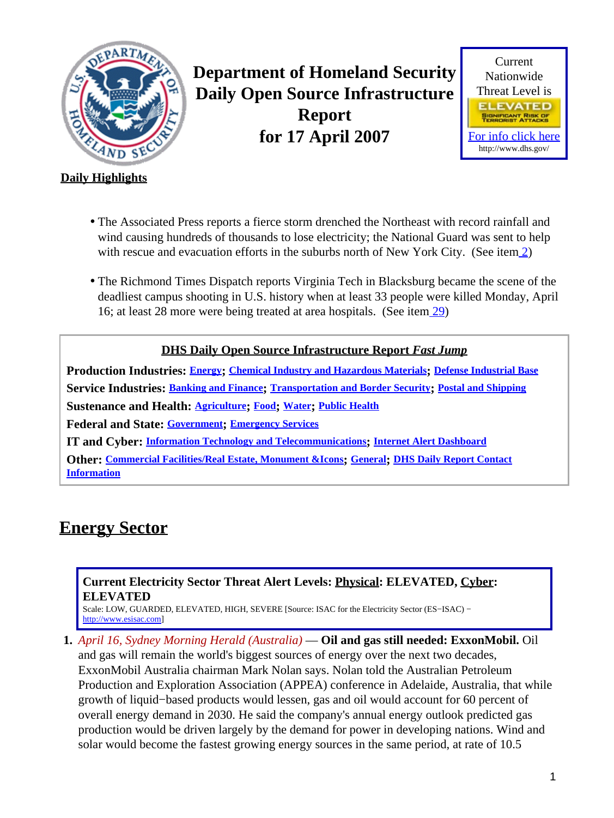<span id="page-0-1"></span>

**Department of Homeland Security Daily Open Source Infrastructure Report for 17 April 2007**



### **Daily Highlights**

- The Associated Press reports a fierce storm drenched the Northeast with record rainfall and wind causing hundreds of thousands to lose electricity; the National Guard was sent to help with rescue and evacuation efforts in the suburbs north of New York City. (See item [2\)](#page-1-0)
- The Richmond Times Dispatch reports Virginia Tech in Blacksburg became the scene of the deadliest campus shooting in U.S. history when at least 33 people were killed Monday, April 16; at least 28 more were being treated at area hospitals. (See ite[m 29](#page-9-0))

### **DHS Daily Open Source Infrastructure Report** *Fast Jump*

**Production Industries: [Energy](#page-0-0); [Chemical Industry and Hazardous Materials](#page-1-1); [Defense Industrial Base](#page-2-0) Service Industries: [Banking and Finance](#page-3-0); [Transportation and Border Security](#page-4-0); [Postal and Shipping](#page-5-0) Sustenance and Health: [Agriculture](#page-5-1); [Food](#page-6-0); [Water](#page-7-0); [Public Health](#page-8-0) Federal and State: [Government](#page-9-1); [Emergency Services](#page-9-2) IT and Cyber: [Information Technology and Telecommunications](#page-10-0); [Internet Alert Dashboard](#page-12-0) Other: [Commercial Facilities/Real Estate, Monument &Icons](#page-12-1); [General](#page-12-2); [DHS Daily Report Contact](#page-12-3)**

**[Information](#page-12-3)**

## <span id="page-0-0"></span>**Energy Sector**

#### **Current Electricity Sector Threat Alert Levels: Physical: ELEVATED, Cyber: ELEVATED**

Scale: LOW, GUARDED, ELEVATED, HIGH, SEVERE [Source: ISAC for the Electricity Sector (ES−ISAC) − [http://www.esisac.com](http://esisac.com)]

**1.** *April 16, Sydney Morning Herald (Australia)* — **Oil and gas still needed: ExxonMobil.** Oil and gas will remain the world's biggest sources of energy over the next two decades, ExxonMobil Australia chairman Mark Nolan says. Nolan told the Australian Petroleum Production and Exploration Association (APPEA) conference in Adelaide, Australia, that while growth of liquid−based products would lessen, gas and oil would account for 60 percent of overall energy demand in 2030. He said the company's annual energy outlook predicted gas production would be driven largely by the demand for power in developing nations. Wind and solar would become the fastest growing energy sources in the same period, at rate of 10.5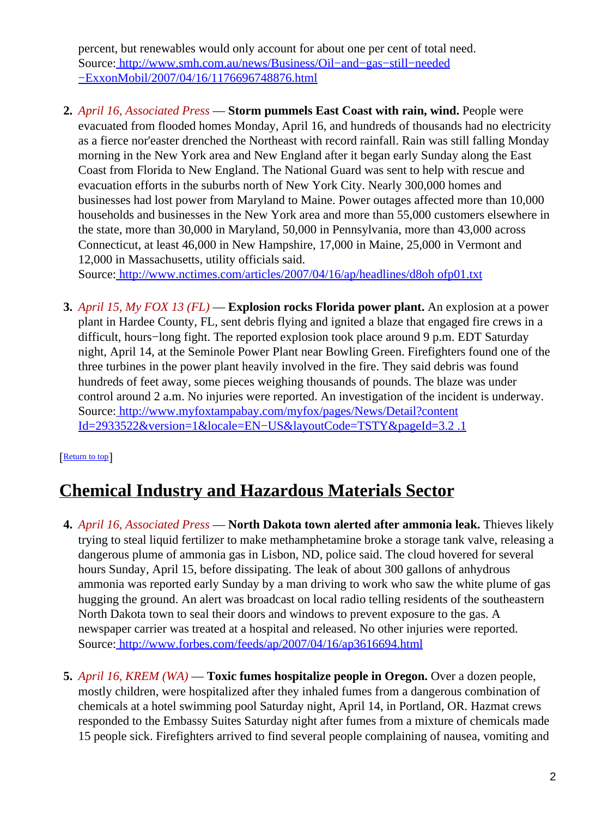percent, but renewables would only account for about one per cent of total need. Source[: http://www.smh.com.au/news/Business/Oil−and−gas−still−needed](http://www.smh.com.au/news/Business/Oil-and-gas-still-needed-ExxonMobil/2007/04/16/1176696748876.html) [−ExxonMobil/2007/04/16/1176696748876.html](http://www.smh.com.au/news/Business/Oil-and-gas-still-needed-ExxonMobil/2007/04/16/1176696748876.html)

<span id="page-1-0"></span>**2.** *April 16, Associated Press* — **Storm pummels East Coast with rain, wind.** People were evacuated from flooded homes Monday, April 16, and hundreds of thousands had no electricity as a fierce nor'easter drenched the Northeast with record rainfall. Rain was still falling Monday morning in the New York area and New England after it began early Sunday along the East Coast from Florida to New England. The National Guard was sent to help with rescue and evacuation efforts in the suburbs north of New York City. Nearly 300,000 homes and businesses had lost power from Maryland to Maine. Power outages affected more than 10,000 households and businesses in the New York area and more than 55,000 customers elsewhere in the state, more than 30,000 in Maryland, 50,000 in Pennsylvania, more than 43,000 across Connecticut, at least 46,000 in New Hampshire, 17,000 in Maine, 25,000 in Vermont and 12,000 in Massachusetts, utility officials said.

Source[: http://www.nctimes.com/articles/2007/04/16/ap/headlines/d8oh ofp01.txt](http://www.nctimes.com/articles/2007/04/16/ap/headlines/d8ohofp01.txt)

**3.** *April 15, My FOX 13 (FL)* — **Explosion rocks Florida power plant.** An explosion at a power plant in Hardee County, FL, sent debris flying and ignited a blaze that engaged fire crews in a difficult, hours−long fight. The reported explosion took place around 9 p.m. EDT Saturday night, April 14, at the Seminole Power Plant near Bowling Green. Firefighters found one of the three turbines in the power plant heavily involved in the fire. They said debris was found hundreds of feet away, some pieces weighing thousands of pounds. The blaze was under control around 2 a.m. No injuries were reported. An investigation of the incident is underway. Source[: http://www.myfoxtampabay.com/myfox/pages/News/Detail?content](http://www.myfoxtampabay.com/myfox/pages/News/Detail?contentId=2933522&version=1&locale=EN-US&layoutCode=TSTY&pageId=3.2.1) [Id=2933522&version=1&locale=EN−US&layoutCode=TSTY&pageId=3.2 .1](http://www.myfoxtampabay.com/myfox/pages/News/Detail?contentId=2933522&version=1&locale=EN-US&layoutCode=TSTY&pageId=3.2.1)

### [[Return to top](#page-0-1)]

# <span id="page-1-1"></span>**Chemical Industry and Hazardous Materials Sector**

- **4.** *April 16, Associated Press* — **North Dakota town alerted after ammonia leak.** Thieves likely trying to steal liquid fertilizer to make methamphetamine broke a storage tank valve, releasing a dangerous plume of ammonia gas in Lisbon, ND, police said. The cloud hovered for several hours Sunday, April 15, before dissipating. The leak of about 300 gallons of anhydrous ammonia was reported early Sunday by a man driving to work who saw the white plume of gas hugging the ground. An alert was broadcast on local radio telling residents of the southeastern North Dakota town to seal their doors and windows to prevent exposure to the gas. A newspaper carrier was treated at a hospital and released. No other injuries were reported. Source[: http://www.forbes.com/feeds/ap/2007/04/16/ap3616694.html](http://www.forbes.com/feeds/ap/2007/04/16/ap3616694.html)
- **5.** *April 16, KREM (WA)* — **Toxic fumes hospitalize people in Oregon.** Over a dozen people, mostly children, were hospitalized after they inhaled fumes from a dangerous combination of chemicals at a hotel swimming pool Saturday night, April 14, in Portland, OR. Hazmat crews responded to the Embassy Suites Saturday night after fumes from a mixture of chemicals made 15 people sick. Firefighters arrived to find several people complaining of nausea, vomiting and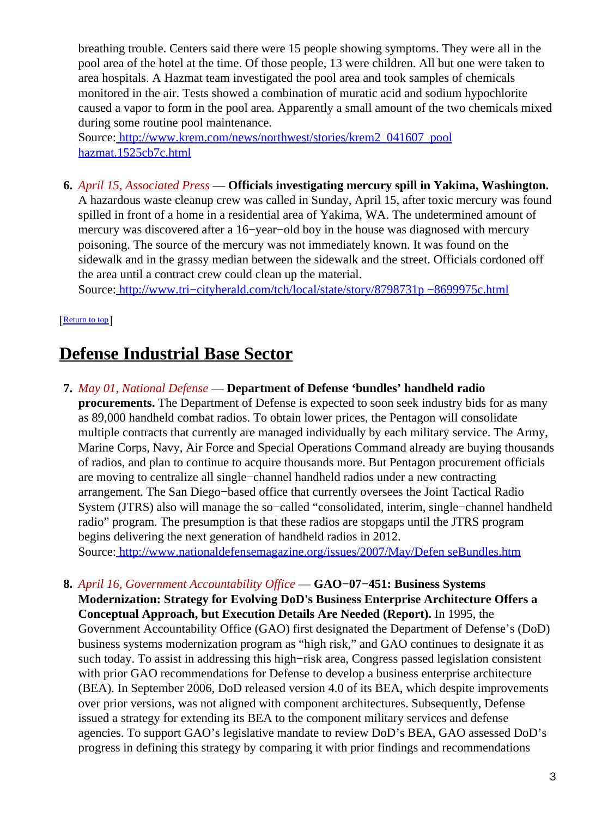breathing trouble. Centers said there were 15 people showing symptoms. They were all in the pool area of the hotel at the time. Of those people, 13 were children. All but one were taken to area hospitals. A Hazmat team investigated the pool area and took samples of chemicals monitored in the air. Tests showed a combination of muratic acid and sodium hypochlorite caused a vapor to form in the pool area. Apparently a small amount of the two chemicals mixed during some routine pool maintenance.

Source[: http://www.krem.com/news/northwest/stories/krem2\\_041607\\_pool](http://www.krem.com/news/northwest/stories/krem2_041607_poolhazmat.1525cb7c.html) [hazmat.1525cb7c.html](http://www.krem.com/news/northwest/stories/krem2_041607_poolhazmat.1525cb7c.html)

**6.** *April 15, Associated Press* — **Officials investigating mercury spill in Yakima, Washington.** A hazardous waste cleanup crew was called in Sunday, April 15, after toxic mercury was found spilled in front of a home in a residential area of Yakima, WA. The undetermined amount of mercury was discovered after a 16−year−old boy in the house was diagnosed with mercury poisoning. The source of the mercury was not immediately known. It was found on the sidewalk and in the grassy median between the sidewalk and the street. Officials cordoned off the area until a contract crew could clean up the material.

Source[: http://www.tri−cityherald.com/tch/local/state/story/8798731p −8699975c.html](http://www.tri-cityherald.com/tch/local/state/story/8798731p-8699975c.html)

[[Return to top](#page-0-1)]

## <span id="page-2-0"></span>**Defense Industrial Base Sector**

- **7.** *May 01, National Defense* — **Department of Defense 'bundles' handheld radio procurements.** The Department of Defense is expected to soon seek industry bids for as many as 89,000 handheld combat radios. To obtain lower prices, the Pentagon will consolidate multiple contracts that currently are managed individually by each military service. The Army, Marine Corps, Navy, Air Force and Special Operations Command already are buying thousands of radios, and plan to continue to acquire thousands more. But Pentagon procurement officials are moving to centralize all single−channel handheld radios under a new contracting arrangement. The San Diego−based office that currently oversees the Joint Tactical Radio System (JTRS) also will manage the so−called "consolidated, interim, single−channel handheld radio" program. The presumption is that these radios are stopgaps until the JTRS program begins delivering the next generation of handheld radios in 2012. Source[: http://www.nationaldefensemagazine.org/issues/2007/May/Defen seBundles.htm](http://www.nationaldefensemagazine.org/issues/2007/May/DefenseBundles.htm)
- **8.** *April 16, Government Accountability Office* — **GAO−07−451: Business Systems Modernization: Strategy for Evolving DoD's Business Enterprise Architecture Offers a Conceptual Approach, but Execution Details Are Needed (Report).** In 1995, the Government Accountability Office (GAO) first designated the Department of Defense's (DoD) business systems modernization program as "high risk," and GAO continues to designate it as such today. To assist in addressing this high−risk area, Congress passed legislation consistent with prior GAO recommendations for Defense to develop a business enterprise architecture (BEA). In September 2006, DoD released version 4.0 of its BEA, which despite improvements over prior versions, was not aligned with component architectures. Subsequently, Defense issued a strategy for extending its BEA to the component military services and defense agencies. To support GAO's legislative mandate to review DoD's BEA, GAO assessed DoD's progress in defining this strategy by comparing it with prior findings and recommendations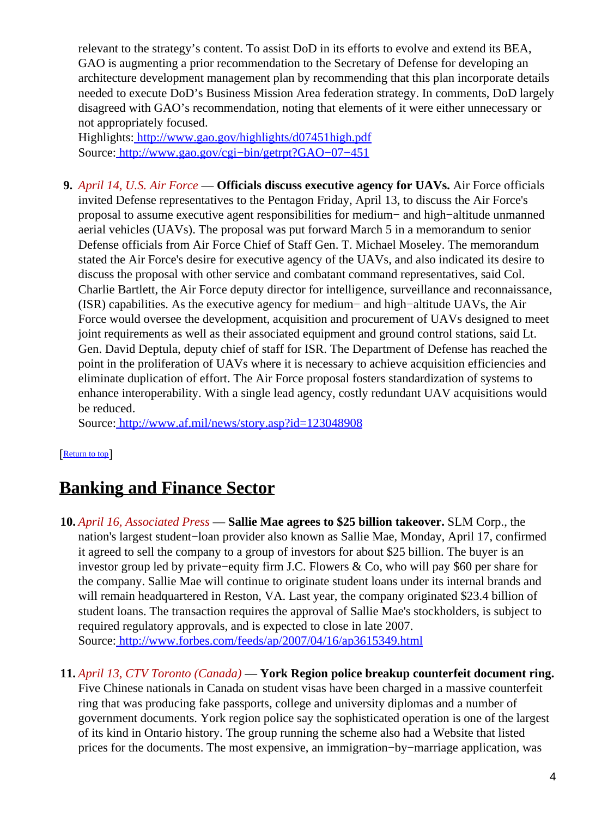relevant to the strategy's content. To assist DoD in its efforts to evolve and extend its BEA, GAO is augmenting a prior recommendation to the Secretary of Defense for developing an architecture development management plan by recommending that this plan incorporate details needed to execute DoD's Business Mission Area federation strategy. In comments, DoD largely disagreed with GAO's recommendation, noting that elements of it were either unnecessary or not appropriately focused.

Highlights:<http://www.gao.gov/highlights/d07451high.pdf> Source[: http://www.gao.gov/cgi−bin/getrpt?GAO−07−451](http://www.gao.gov/cgi-bin/getrpt?GAO-07-451)

**9.** *April 14, U.S. Air Force* — **Officials discuss executive agency for UAVs.** Air Force officials invited Defense representatives to the Pentagon Friday, April 13, to discuss the Air Force's proposal to assume executive agent responsibilities for medium− and high−altitude unmanned aerial vehicles (UAVs). The proposal was put forward March 5 in a memorandum to senior Defense officials from Air Force Chief of Staff Gen. T. Michael Moseley. The memorandum stated the Air Force's desire for executive agency of the UAVs, and also indicated its desire to discuss the proposal with other service and combatant command representatives, said Col. Charlie Bartlett, the Air Force deputy director for intelligence, surveillance and reconnaissance, (ISR) capabilities. As the executive agency for medium− and high−altitude UAVs, the Air Force would oversee the development, acquisition and procurement of UAVs designed to meet joint requirements as well as their associated equipment and ground control stations, said Lt. Gen. David Deptula, deputy chief of staff for ISR. The Department of Defense has reached the point in the proliferation of UAVs where it is necessary to achieve acquisition efficiencies and eliminate duplication of effort. The Air Force proposal fosters standardization of systems to enhance interoperability. With a single lead agency, costly redundant UAV acquisitions would be reduced.

Source[: http://www.af.mil/news/story.asp?id=123048908](http://www.af.mil/news/story.asp?id=123048908)

### [[Return to top](#page-0-1)]

## <span id="page-3-0"></span>**Banking and Finance Sector**

- **10.** *April 16, Associated Press* — **Sallie Mae agrees to \$25 billion takeover.** SLM Corp., the nation's largest student−loan provider also known as Sallie Mae, Monday, April 17, confirmed it agreed to sell the company to a group of investors for about \$25 billion. The buyer is an investor group led by private−equity firm J.C. Flowers & Co, who will pay \$60 per share for the company. Sallie Mae will continue to originate student loans under its internal brands and will remain headquartered in Reston, VA. Last year, the company originated \$23.4 billion of student loans. The transaction requires the approval of Sallie Mae's stockholders, is subject to required regulatory approvals, and is expected to close in late 2007. Source[: http://www.forbes.com/feeds/ap/2007/04/16/ap3615349.html](http://www.forbes.com/feeds/ap/2007/04/16/ap3615349.html)
- **11.** *April 13, CTV Toronto (Canada)* — **York Region police breakup counterfeit document ring.** Five Chinese nationals in Canada on student visas have been charged in a massive counterfeit ring that was producing fake passports, college and university diplomas and a number of government documents. York region police say the sophisticated operation is one of the largest of its kind in Ontario history. The group running the scheme also had a Website that listed prices for the documents. The most expensive, an immigration−by−marriage application, was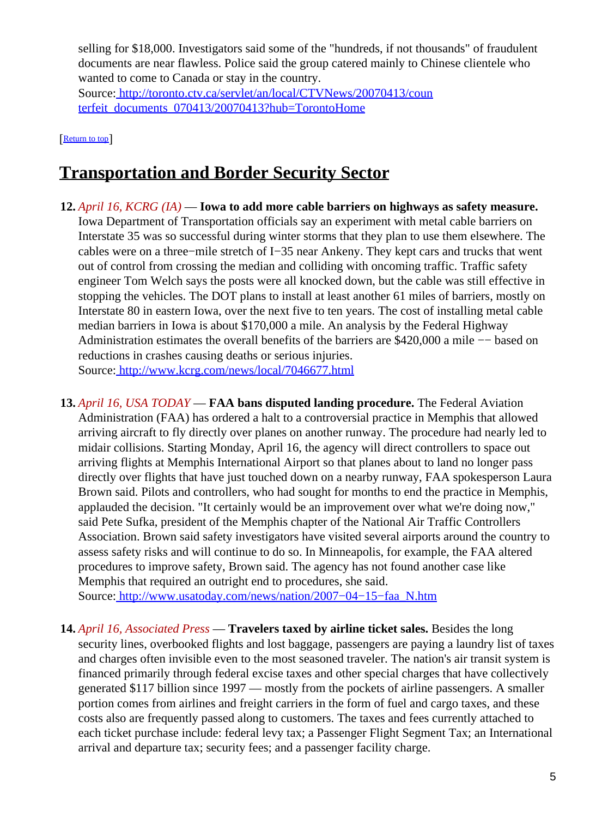selling for \$18,000. Investigators said some of the "hundreds, if not thousands" of fraudulent documents are near flawless. Police said the group catered mainly to Chinese clientele who wanted to come to Canada or stay in the country.

Source[: http://toronto.ctv.ca/servlet/an/local/CTVNews/20070413/coun](http://toronto.ctv.ca/servlet/an/local/CTVNews/20070413/counterfeit_documents_070413/20070413?hub=TorontoHome) [terfeit\\_documents\\_070413/20070413?hub=TorontoHome](http://toronto.ctv.ca/servlet/an/local/CTVNews/20070413/counterfeit_documents_070413/20070413?hub=TorontoHome)

#### [[Return to top](#page-0-1)]

## <span id="page-4-0"></span>**Transportation and Border Security Sector**

- **12.** *April 16, KCRG (IA)* — **Iowa to add more cable barriers on highways as safety measure.** Iowa Department of Transportation officials say an experiment with metal cable barriers on Interstate 35 was so successful during winter storms that they plan to use them elsewhere. The cables were on a three−mile stretch of I−35 near Ankeny. They kept cars and trucks that went out of control from crossing the median and colliding with oncoming traffic. Traffic safety engineer Tom Welch says the posts were all knocked down, but the cable was still effective in stopping the vehicles. The DOT plans to install at least another 61 miles of barriers, mostly on Interstate 80 in eastern Iowa, over the next five to ten years. The cost of installing metal cable median barriers in Iowa is about \$170,000 a mile. An analysis by the Federal Highway Administration estimates the overall benefits of the barriers are \$420,000 a mile −− based on reductions in crashes causing deaths or serious injuries. Source[: http://www.kcrg.com/news/local/7046677.html](http://www.kcrg.com/news/local/7046677.html)
- **13.** *April 16, USA TODAY* — **FAA bans disputed landing procedure.** The Federal Aviation Administration (FAA) has ordered a halt to a controversial practice in Memphis that allowed arriving aircraft to fly directly over planes on another runway. The procedure had nearly led to midair collisions. Starting Monday, April 16, the agency will direct controllers to space out arriving flights at Memphis International Airport so that planes about to land no longer pass directly over flights that have just touched down on a nearby runway, FAA spokesperson Laura Brown said. Pilots and controllers, who had sought for months to end the practice in Memphis, applauded the decision. "It certainly would be an improvement over what we're doing now," said Pete Sufka, president of the Memphis chapter of the National Air Traffic Controllers Association. Brown said safety investigators have visited several airports around the country to assess safety risks and will continue to do so. In Minneapolis, for example, the FAA altered procedures to improve safety, Brown said. The agency has not found another case like Memphis that required an outright end to procedures, she said.

Source[: http://www.usatoday.com/news/nation/2007−04−15−faa\\_N.htm](http://www.usatoday.com/news/nation/2007-04-15-faa_N.htm)

**14.** *April 16, Associated Press* — **Travelers taxed by airline ticket sales.** Besides the long security lines, overbooked flights and lost baggage, passengers are paying a laundry list of taxes and charges often invisible even to the most seasoned traveler. The nation's air transit system is financed primarily through federal excise taxes and other special charges that have collectively generated \$117 billion since 1997 — mostly from the pockets of airline passengers. A smaller portion comes from airlines and freight carriers in the form of fuel and cargo taxes, and these costs also are frequently passed along to customers. The taxes and fees currently attached to each ticket purchase include: federal levy tax; a Passenger Flight Segment Tax; an International arrival and departure tax; security fees; and a passenger facility charge.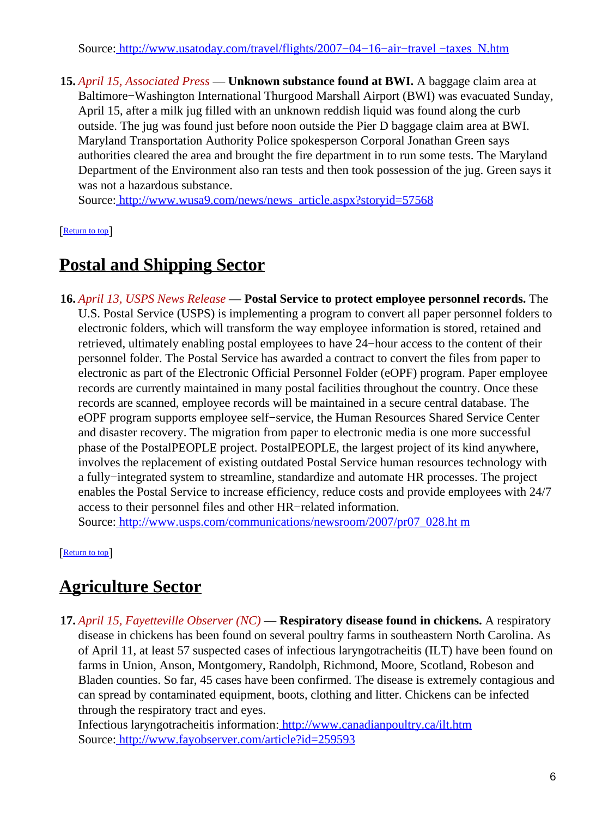Source[: http://www.usatoday.com/travel/flights/2007−04−16−air−travel −taxes\\_N.htm](http://www.usatoday.com/travel/flights/2007-04-16-air-travel-taxes_N.htm)

**15.** *April 15, Associated Press* — **Unknown substance found at BWI.** A baggage claim area at Baltimore−Washington International Thurgood Marshall Airport (BWI) was evacuated Sunday, April 15, after a milk jug filled with an unknown reddish liquid was found along the curb outside. The jug was found just before noon outside the Pier D baggage claim area at BWI. Maryland Transportation Authority Police spokesperson Corporal Jonathan Green says authorities cleared the area and brought the fire department in to run some tests. The Maryland Department of the Environment also ran tests and then took possession of the jug. Green says it was not a hazardous substance.

Source[: http://www.wusa9.com/news/news\\_article.aspx?storyid=57568](http://www.wusa9.com/news/news_article.aspx?storyid=57568)

[[Return to top](#page-0-1)]

## <span id="page-5-0"></span>**Postal and Shipping Sector**

**16.** *April 13, USPS News Release* — **Postal Service to protect employee personnel records.** The U.S. Postal Service (USPS) is implementing a program to convert all paper personnel folders to electronic folders, which will transform the way employee information is stored, retained and retrieved, ultimately enabling postal employees to have 24−hour access to the content of their personnel folder. The Postal Service has awarded a contract to convert the files from paper to electronic as part of the Electronic Official Personnel Folder (eOPF) program. Paper employee records are currently maintained in many postal facilities throughout the country. Once these records are scanned, employee records will be maintained in a secure central database. The eOPF program supports employee self−service, the Human Resources Shared Service Center and disaster recovery. The migration from paper to electronic media is one more successful phase of the PostalPEOPLE project. PostalPEOPLE, the largest project of its kind anywhere, involves the replacement of existing outdated Postal Service human resources technology with a fully−integrated system to streamline, standardize and automate HR processes. The project enables the Postal Service to increase efficiency, reduce costs and provide employees with 24/7 access to their personnel files and other HR−related information.

Source[: http://www.usps.com/communications/newsroom/2007/pr07\\_028.ht m](http://www.usps.com/communications/newsroom/2007/pr07_028.htm)

[[Return to top](#page-0-1)]

## <span id="page-5-1"></span>**Agriculture Sector**

**17.** *April 15, Fayetteville Observer (NC)* — **Respiratory disease found in chickens.** A respiratory disease in chickens has been found on several poultry farms in southeastern North Carolina. As of April 11, at least 57 suspected cases of infectious laryngotracheitis (ILT) have been found on farms in Union, Anson, Montgomery, Randolph, Richmond, Moore, Scotland, Robeson and Bladen counties. So far, 45 cases have been confirmed. The disease is extremely contagious and can spread by contaminated equipment, boots, clothing and litter. Chickens can be infected through the respiratory tract and eyes.

Infectious laryngotracheitis information[: http://www.canadianpoultry.ca/ilt.htm](http://www.canadianpoultry.ca/ilt.htm) Source[: http://www.fayobserver.com/article?id=259593](http://www.fayobserver.com/article?id=259593)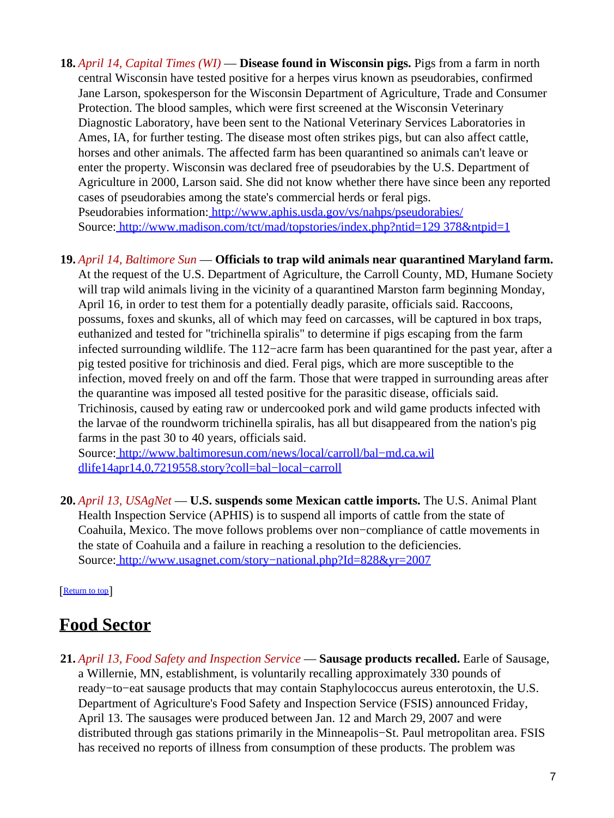**18.** *April 14, Capital Times (WI)* — **Disease found in Wisconsin pigs.** Pigs from a farm in north central Wisconsin have tested positive for a herpes virus known as pseudorabies, confirmed Jane Larson, spokesperson for the Wisconsin Department of Agriculture, Trade and Consumer Protection. The blood samples, which were first screened at the Wisconsin Veterinary Diagnostic Laboratory, have been sent to the National Veterinary Services Laboratories in Ames, IA, for further testing. The disease most often strikes pigs, but can also affect cattle, horses and other animals. The affected farm has been quarantined so animals can't leave or enter the property. Wisconsin was declared free of pseudorabies by the U.S. Department of Agriculture in 2000, Larson said. She did not know whether there have since been any reported cases of pseudorabies among the state's commercial herds or feral pigs. Pseudorabies information[: http://www.aphis.usda.gov/vs/nahps/pseudorabies/](http://www.aphis.usda.gov/vs/nahps/pseudorabies/) Source[: http://www.madison.com/tct/mad/topstories/index.php?ntid=129 378&ntpid=1](http://www.madison.com/tct/mad/topstories/index.php?ntid=129378&ntpid=1)

### **19.** *April 14, Baltimore Sun* — **Officials to trap wild animals near quarantined Maryland farm.**

At the request of the U.S. Department of Agriculture, the Carroll County, MD, Humane Society will trap wild animals living in the vicinity of a quarantined Marston farm beginning Monday, April 16, in order to test them for a potentially deadly parasite, officials said. Raccoons, possums, foxes and skunks, all of which may feed on carcasses, will be captured in box traps, euthanized and tested for "trichinella spiralis" to determine if pigs escaping from the farm infected surrounding wildlife. The 112−acre farm has been quarantined for the past year, after a pig tested positive for trichinosis and died. Feral pigs, which are more susceptible to the infection, moved freely on and off the farm. Those that were trapped in surrounding areas after the quarantine was imposed all tested positive for the parasitic disease, officials said. Trichinosis, caused by eating raw or undercooked pork and wild game products infected with the larvae of the roundworm trichinella spiralis, has all but disappeared from the nation's pig farms in the past 30 to 40 years, officials said.

Source[: http://www.baltimoresun.com/news/local/carroll/bal−md.ca.wil](http://www.baltimoresun.com/news/local/carroll/bal-md.ca.wildlife14apr14,0,7219558.story?coll=bal-local-carroll) [dlife14apr14,0,7219558.story?coll=bal−local−carroll](http://www.baltimoresun.com/news/local/carroll/bal-md.ca.wildlife14apr14,0,7219558.story?coll=bal-local-carroll)

**20.** *April 13, USAgNet* — **U.S. suspends some Mexican cattle imports.** The U.S. Animal Plant Health Inspection Service (APHIS) is to suspend all imports of cattle from the state of Coahuila, Mexico. The move follows problems over non−compliance of cattle movements in the state of Coahuila and a failure in reaching a resolution to the deficiencies. Source[: http://www.usagnet.com/story−national.php?Id=828&yr=2007](http://www.usagnet.com/story-national.php?Id=828&yr=2007)

[[Return to top](#page-0-1)]

### <span id="page-6-0"></span>**Food Sector**

**21.** *April 13, Food Safety and Inspection Service* — **Sausage products recalled.** Earle of Sausage, a Willernie, MN, establishment, is voluntarily recalling approximately 330 pounds of ready−to−eat sausage products that may contain Staphylococcus aureus enterotoxin, the U.S. Department of Agriculture's Food Safety and Inspection Service (FSIS) announced Friday, April 13. The sausages were produced between Jan. 12 and March 29, 2007 and were distributed through gas stations primarily in the Minneapolis−St. Paul metropolitan area. FSIS has received no reports of illness from consumption of these products. The problem was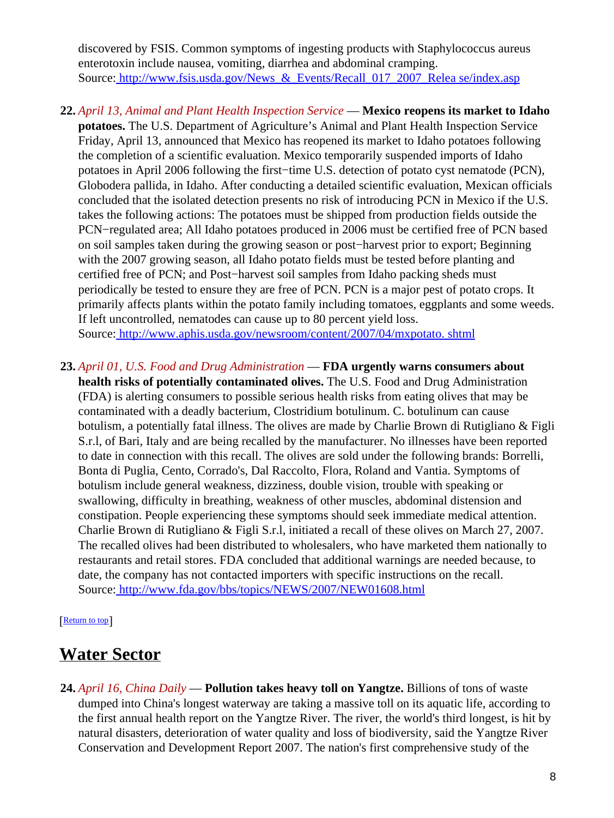discovered by FSIS. Common symptoms of ingesting products with Staphylococcus aureus enterotoxin include nausea, vomiting, diarrhea and abdominal cramping. Source: http://www.fsis.usda.gov/News & Events/Recall 017 2007 Relea se/index.asp

- **22.** *April 13, Animal and Plant Health Inspection Service* — **Mexico reopens its market to Idaho potatoes.** The U.S. Department of Agriculture's Animal and Plant Health Inspection Service Friday, April 13, announced that Mexico has reopened its market to Idaho potatoes following the completion of a scientific evaluation. Mexico temporarily suspended imports of Idaho potatoes in April 2006 following the first−time U.S. detection of potato cyst nematode (PCN), Globodera pallida, in Idaho. After conducting a detailed scientific evaluation, Mexican officials concluded that the isolated detection presents no risk of introducing PCN in Mexico if the U.S. takes the following actions: The potatoes must be shipped from production fields outside the PCN−regulated area; All Idaho potatoes produced in 2006 must be certified free of PCN based on soil samples taken during the growing season or post−harvest prior to export; Beginning with the 2007 growing season, all Idaho potato fields must be tested before planting and certified free of PCN; and Post−harvest soil samples from Idaho packing sheds must periodically be tested to ensure they are free of PCN. PCN is a major pest of potato crops. It primarily affects plants within the potato family including tomatoes, eggplants and some weeds. If left uncontrolled, nematodes can cause up to 80 percent yield loss. Source[: http://www.aphis.usda.gov/newsroom/content/2007/04/mxpotato. shtml](http://www.aphis.usda.gov/newsroom/content/2007/04/mxpotato.shtml)
- **23.** *April 01, U.S. Food and Drug Administration* — **FDA urgently warns consumers about health risks of potentially contaminated olives.** The U.S. Food and Drug Administration (FDA) is alerting consumers to possible serious health risks from eating olives that may be contaminated with a deadly bacterium, Clostridium botulinum. C. botulinum can cause botulism, a potentially fatal illness. The olives are made by Charlie Brown di Rutigliano & Figli S.r.l, of Bari, Italy and are being recalled by the manufacturer. No illnesses have been reported to date in connection with this recall. The olives are sold under the following brands: Borrelli, Bonta di Puglia, Cento, Corrado's, Dal Raccolto, Flora, Roland and Vantia. Symptoms of botulism include general weakness, dizziness, double vision, trouble with speaking or swallowing, difficulty in breathing, weakness of other muscles, abdominal distension and constipation. People experiencing these symptoms should seek immediate medical attention. Charlie Brown di Rutigliano & Figli S.r.l, initiated a recall of these olives on March 27, 2007. The recalled olives had been distributed to wholesalers, who have marketed them nationally to restaurants and retail stores. FDA concluded that additional warnings are needed because, to date, the company has not contacted importers with specific instructions on the recall. Source[: http://www.fda.gov/bbs/topics/NEWS/2007/NEW01608.html](http://www.fda.gov/bbs/topics/NEWS/2007/NEW01608.html)

[[Return to top](#page-0-1)]

### <span id="page-7-0"></span>**Water Sector**

**24.** *April 16, China Daily* — **Pollution takes heavy toll on Yangtze.** Billions of tons of waste dumped into China's longest waterway are taking a massive toll on its aquatic life, according to the first annual health report on the Yangtze River. The river, the world's third longest, is hit by natural disasters, deterioration of water quality and loss of biodiversity, said the Yangtze River Conservation and Development Report 2007. The nation's first comprehensive study of the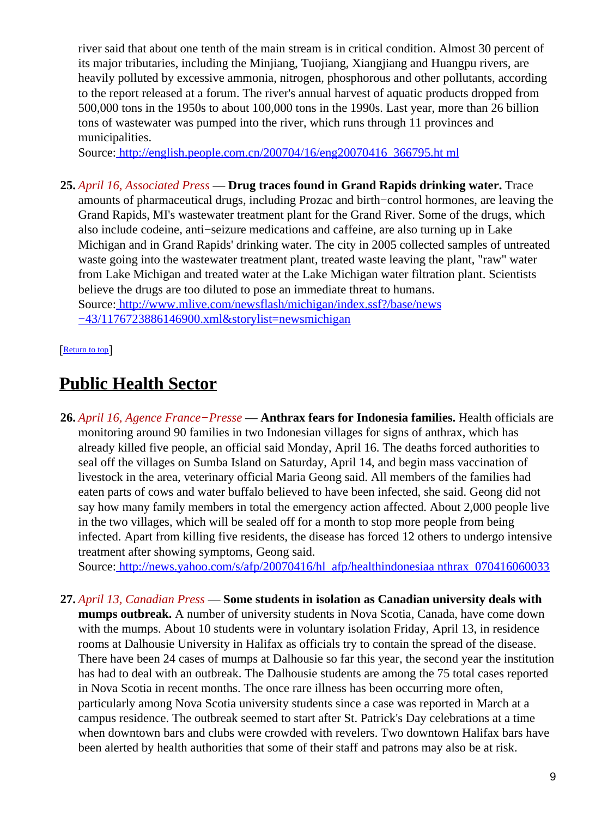river said that about one tenth of the main stream is in critical condition. Almost 30 percent of its major tributaries, including the Minjiang, Tuojiang, Xiangjiang and Huangpu rivers, are heavily polluted by excessive ammonia, nitrogen, phosphorous and other pollutants, according to the report released at a forum. The river's annual harvest of aquatic products dropped from 500,000 tons in the 1950s to about 100,000 tons in the 1990s. Last year, more than 26 billion tons of wastewater was pumped into the river, which runs through 11 provinces and municipalities.

Source[: http://english.people.com.cn/200704/16/eng20070416\\_366795.ht ml](http://english.people.com.cn/200704/16/eng20070416_366795.html)

**25.** *April 16, Associated Press* — **Drug traces found in Grand Rapids drinking water.** Trace amounts of pharmaceutical drugs, including Prozac and birth−control hormones, are leaving the Grand Rapids, MI's wastewater treatment plant for the Grand River. Some of the drugs, which also include codeine, anti−seizure medications and caffeine, are also turning up in Lake Michigan and in Grand Rapids' drinking water. The city in 2005 collected samples of untreated waste going into the wastewater treatment plant, treated waste leaving the plant, "raw" water from Lake Michigan and treated water at the Lake Michigan water filtration plant. Scientists believe the drugs are too diluted to pose an immediate threat to humans. Source[: http://www.mlive.com/newsflash/michigan/index.ssf?/base/news](http://www.mlive.com/newsflash/michigan/index.ssf?/base/news-43/1176723886146900.xml&storylist=newsmichigan) [−43/1176723886146900.xml&storylist=newsmichigan](http://www.mlive.com/newsflash/michigan/index.ssf?/base/news-43/1176723886146900.xml&storylist=newsmichigan)

[[Return to top](#page-0-1)]

## <span id="page-8-0"></span>**Public Health Sector**

**26.** *April 16, Agence France−Presse* — **Anthrax fears for Indonesia families.** Health officials are monitoring around 90 families in two Indonesian villages for signs of anthrax, which has already killed five people, an official said Monday, April 16. The deaths forced authorities to seal off the villages on Sumba Island on Saturday, April 14, and begin mass vaccination of livestock in the area, veterinary official Maria Geong said. All members of the families had eaten parts of cows and water buffalo believed to have been infected, she said. Geong did not say how many family members in total the emergency action affected. About 2,000 people live in the two villages, which will be sealed off for a month to stop more people from being infected. Apart from killing five residents, the disease has forced 12 others to undergo intensive treatment after showing symptoms, Geong said.

Source[: http://news.yahoo.com/s/afp/20070416/hl\\_afp/healthindonesiaa nthrax\\_070416060033](http://news.yahoo.com/s/afp/20070416/hl_afp/healthindonesiaanthrax_070416060033)

**27.** *April 13, Canadian Press* — **Some students in isolation as Canadian university deals with mumps outbreak.** A number of university students in Nova Scotia, Canada, have come down with the mumps. About 10 students were in voluntary isolation Friday, April 13, in residence rooms at Dalhousie University in Halifax as officials try to contain the spread of the disease. There have been 24 cases of mumps at Dalhousie so far this year, the second year the institution has had to deal with an outbreak. The Dalhousie students are among the 75 total cases reported in Nova Scotia in recent months. The once rare illness has been occurring more often, particularly among Nova Scotia university students since a case was reported in March at a campus residence. The outbreak seemed to start after St. Patrick's Day celebrations at a time when downtown bars and clubs were crowded with revelers. Two downtown Halifax bars have been alerted by health authorities that some of their staff and patrons may also be at risk.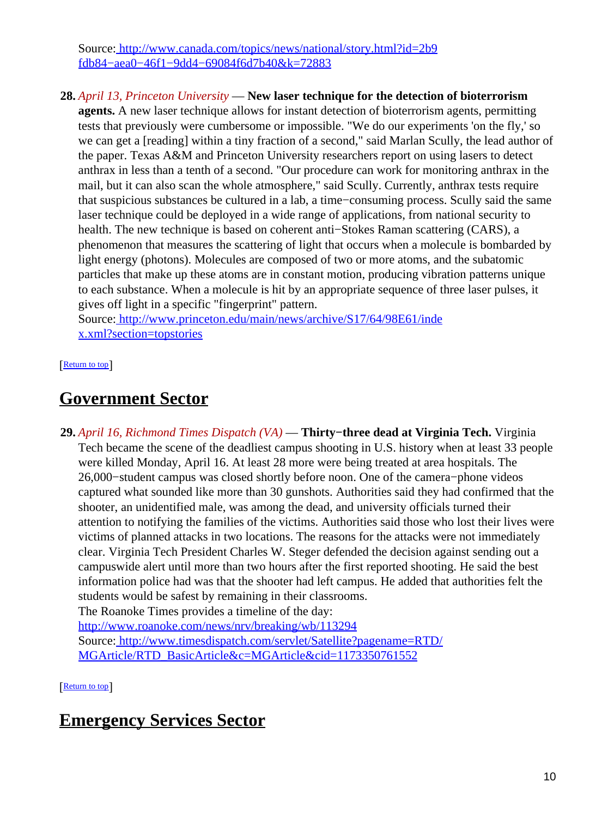Source[: http://www.canada.com/topics/news/national/story.html?id=2b9](http://www.canada.com/topics/news/national/story.html?id=2b9fdb84-aea0-46f1-9dd4-69084f6d7b40&k=72883) [fdb84−aea0−46f1−9dd4−69084f6d7b40&k=72883](http://www.canada.com/topics/news/national/story.html?id=2b9fdb84-aea0-46f1-9dd4-69084f6d7b40&k=72883)

**28.** *April 13, Princeton University* — **New laser technique for the detection of bioterrorism**

**agents.** A new laser technique allows for instant detection of bioterrorism agents, permitting tests that previously were cumbersome or impossible. "We do our experiments 'on the fly,' so we can get a [reading] within a tiny fraction of a second," said Marlan Scully, the lead author of the paper. Texas A&M and Princeton University researchers report on using lasers to detect anthrax in less than a tenth of a second. "Our procedure can work for monitoring anthrax in the mail, but it can also scan the whole atmosphere," said Scully. Currently, anthrax tests require that suspicious substances be cultured in a lab, a time−consuming process. Scully said the same laser technique could be deployed in a wide range of applications, from national security to health. The new technique is based on coherent anti−Stokes Raman scattering (CARS), a phenomenon that measures the scattering of light that occurs when a molecule is bombarded by light energy (photons). Molecules are composed of two or more atoms, and the subatomic particles that make up these atoms are in constant motion, producing vibration patterns unique to each substance. When a molecule is hit by an appropriate sequence of three laser pulses, it gives off light in a specific "fingerprint" pattern.

Source[: http://www.princeton.edu/main/news/archive/S17/64/98E61/inde](http://www.princeton.edu/main/news/archive/S17/64/98E61/index.xml?section=topstories) [x.xml?section=topstories](http://www.princeton.edu/main/news/archive/S17/64/98E61/index.xml?section=topstories)

[[Return to top](#page-0-1)]

### <span id="page-9-1"></span>**Government Sector**

<span id="page-9-0"></span>**29.** *April 16, Richmond Times Dispatch (VA)* — **Thirty−three dead at Virginia Tech.** Virginia Tech became the scene of the deadliest campus shooting in U.S. history when at least 33 people were killed Monday, April 16. At least 28 more were being treated at area hospitals. The 26,000−student campus was closed shortly before noon. One of the camera−phone videos captured what sounded like more than 30 gunshots. Authorities said they had confirmed that the shooter, an unidentified male, was among the dead, and university officials turned their attention to notifying the families of the victims. Authorities said those who lost their lives were victims of planned attacks in two locations. The reasons for the attacks were not immediately clear. Virginia Tech President Charles W. Steger defended the decision against sending out a campuswide alert until more than two hours after the first reported shooting. He said the best information police had was that the shooter had left campus. He added that authorities felt the students would be safest by remaining in their classrooms. The Roanoke Times provides a timeline of the day:

<http://www.roanoke.com/news/nrv/breaking/wb/113294> Source[: http://www.timesdispatch.com/servlet/Satellite?pagename=RTD/](http://www.timesdispatch.com/servlet/Satellite?pagename=RTD/MGArticle/RTD_BasicArticle&c=MGArticle&cid=1173350761552) [MGArticle/RTD\\_BasicArticle&c=MGArticle&cid=1173350761552](http://www.timesdispatch.com/servlet/Satellite?pagename=RTD/MGArticle/RTD_BasicArticle&c=MGArticle&cid=1173350761552)

[[Return to top](#page-0-1)]

## <span id="page-9-2"></span>**Emergency Services Sector**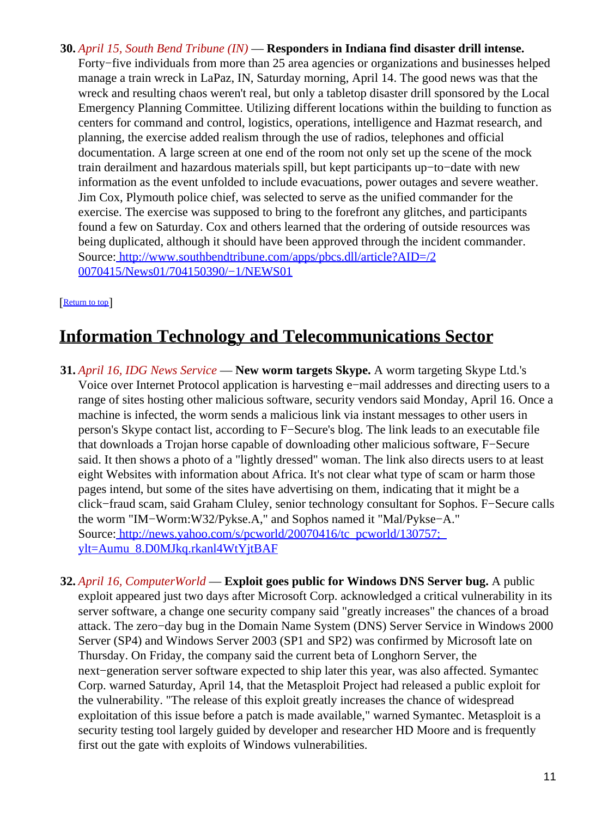**30.** *April 15, South Bend Tribune (IN)* — **Responders in Indiana find disaster drill intense.** Forty−five individuals from more than 25 area agencies or organizations and businesses helped manage a train wreck in LaPaz, IN, Saturday morning, April 14. The good news was that the wreck and resulting chaos weren't real, but only a tabletop disaster drill sponsored by the Local Emergency Planning Committee. Utilizing different locations within the building to function as centers for command and control, logistics, operations, intelligence and Hazmat research, and planning, the exercise added realism through the use of radios, telephones and official documentation. A large screen at one end of the room not only set up the scene of the mock train derailment and hazardous materials spill, but kept participants up−to−date with new information as the event unfolded to include evacuations, power outages and severe weather. Jim Cox, Plymouth police chief, was selected to serve as the unified commander for the exercise. The exercise was supposed to bring to the forefront any glitches, and participants found a few on Saturday. Cox and others learned that the ordering of outside resources was being duplicated, although it should have been approved through the incident commander. Source[: http://www.southbendtribune.com/apps/pbcs.dll/article?AID=/2](http://www.southbendtribune.com/apps/pbcs.dll/article?AID=/20070415/News01/704150390/-1/NEWS01) [0070415/News01/704150390/−1/NEWS01](http://www.southbendtribune.com/apps/pbcs.dll/article?AID=/20070415/News01/704150390/-1/NEWS01)

#### [[Return to top](#page-0-1)]

## <span id="page-10-0"></span>**Information Technology and Telecommunications Sector**

- **31.** *April 16, IDG News Service* — **New worm targets Skype.** A worm targeting Skype Ltd.'s Voice over Internet Protocol application is harvesting e−mail addresses and directing users to a range of sites hosting other malicious software, security vendors said Monday, April 16. Once a machine is infected, the worm sends a malicious link via instant messages to other users in person's Skype contact list, according to F−Secure's blog. The link leads to an executable file that downloads a Trojan horse capable of downloading other malicious software, F−Secure said. It then shows a photo of a "lightly dressed" woman. The link also directs users to at least eight Websites with information about Africa. It's not clear what type of scam or harm those pages intend, but some of the sites have advertising on them, indicating that it might be a click−fraud scam, said Graham Cluley, senior technology consultant for Sophos. F−Secure calls the worm "IM−Worm:W32/Pykse.A," and Sophos named it "Mal/Pykse−A." Source: http://news.yahoo.com/s/pcworld/20070416/tc\_pcworld/130757; [ylt=Aumu\\_8.D0MJkq.rkanl4WtYjtBAF](http://news.yahoo.com/s/pcworld/20070416/tc_pcworld/130757;_ylt=Aumu_8.D0MJkq.rkanl4WtYjtBAF)
- **32.** *April 16, ComputerWorld* — **Exploit goes public for Windows DNS Server bug.** A public exploit appeared just two days after Microsoft Corp. acknowledged a critical vulnerability in its server software, a change one security company said "greatly increases" the chances of a broad attack. The zero−day bug in the Domain Name System (DNS) Server Service in Windows 2000 Server (SP4) and Windows Server 2003 (SP1 and SP2) was confirmed by Microsoft late on Thursday. On Friday, the company said the current beta of Longhorn Server, the next−generation server software expected to ship later this year, was also affected. Symantec Corp. warned Saturday, April 14, that the Metasploit Project had released a public exploit for the vulnerability. "The release of this exploit greatly increases the chance of widespread exploitation of this issue before a patch is made available," warned Symantec. Metasploit is a security testing tool largely guided by developer and researcher HD Moore and is frequently first out the gate with exploits of Windows vulnerabilities.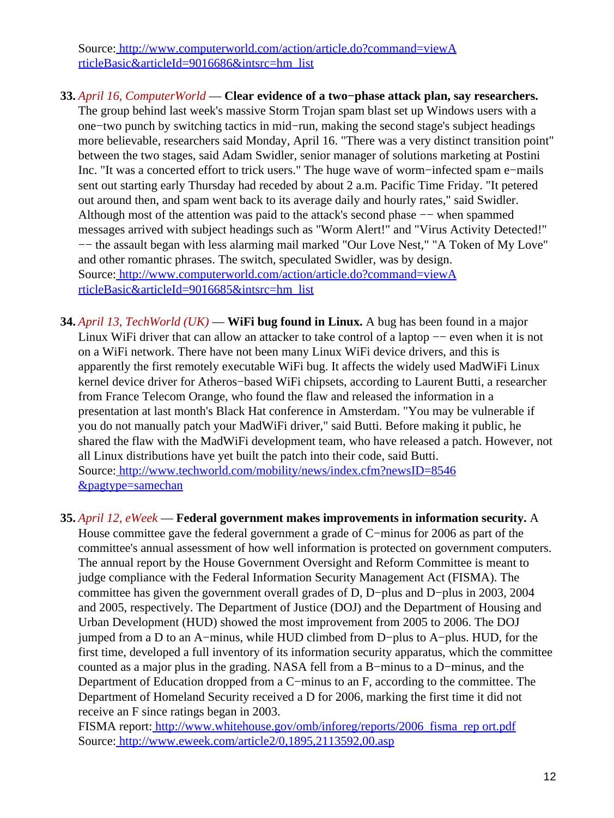Source[: http://www.computerworld.com/action/article.do?command=viewA](http://www.computerworld.com/action/article.do?command=viewArticleBasic&articleId=9016686&intsrc=hm_list) [rticleBasic&articleId=9016686&intsrc=hm\\_list](http://www.computerworld.com/action/article.do?command=viewArticleBasic&articleId=9016686&intsrc=hm_list)

- **33.** *April 16, ComputerWorld* — **Clear evidence of a two−phase attack plan, say researchers.** The group behind last week's massive Storm Trojan spam blast set up Windows users with a one−two punch by switching tactics in mid−run, making the second stage's subject headings more believable, researchers said Monday, April 16. "There was a very distinct transition point" between the two stages, said Adam Swidler, senior manager of solutions marketing at Postini Inc. "It was a concerted effort to trick users." The huge wave of worm−infected spam e−mails sent out starting early Thursday had receded by about 2 a.m. Pacific Time Friday. "It petered out around then, and spam went back to its average daily and hourly rates," said Swidler. Although most of the attention was paid to the attack's second phase −− when spammed messages arrived with subject headings such as "Worm Alert!" and "Virus Activity Detected!" −− the assault began with less alarming mail marked "Our Love Nest," "A Token of My Love" and other romantic phrases. The switch, speculated Swidler, was by design. Source[: http://www.computerworld.com/action/article.do?command=viewA](http://www.computerworld.com/action/article.do?command=viewArticleBasic&articleId=9016685&intsrc=hm_list) [rticleBasic&articleId=9016685&intsrc=hm\\_list](http://www.computerworld.com/action/article.do?command=viewArticleBasic&articleId=9016685&intsrc=hm_list)
- **34.** *April 13, TechWorld (UK)* — **WiFi bug found in Linux.** A bug has been found in a major Linux WiFi driver that can allow an attacker to take control of a laptop −− even when it is not on a WiFi network. There have not been many Linux WiFi device drivers, and this is apparently the first remotely executable WiFi bug. It affects the widely used MadWiFi Linux kernel device driver for Atheros−based WiFi chipsets, according to Laurent Butti, a researcher from France Telecom Orange, who found the flaw and released the information in a presentation at last month's Black Hat conference in Amsterdam. "You may be vulnerable if you do not manually patch your MadWiFi driver," said Butti. Before making it public, he shared the flaw with the MadWiFi development team, who have released a patch. However, not all Linux distributions have yet built the patch into their code, said Butti. Source[: http://www.techworld.com/mobility/news/index.cfm?newsID=8546](http://www.techworld.com/mobility/news/index.cfm?newsID=8546&pagtype=samechan) [&pagtype=samechan](http://www.techworld.com/mobility/news/index.cfm?newsID=8546&pagtype=samechan)

**35.** *April 12, eWeek* — **Federal government makes improvements in information security.** A

House committee gave the federal government a grade of C−minus for 2006 as part of the committee's annual assessment of how well information is protected on government computers. The annual report by the House Government Oversight and Reform Committee is meant to judge compliance with the Federal Information Security Management Act (FISMA). The committee has given the government overall grades of D, D−plus and D−plus in 2003, 2004 and 2005, respectively. The Department of Justice (DOJ) and the Department of Housing and Urban Development (HUD) showed the most improvement from 2005 to 2006. The DOJ jumped from a D to an A−minus, while HUD climbed from D−plus to A−plus. HUD, for the first time, developed a full inventory of its information security apparatus, which the committee counted as a major plus in the grading. NASA fell from a B−minus to a D−minus, and the Department of Education dropped from a C−minus to an F, according to the committee. The Department of Homeland Security received a D for 2006, marking the first time it did not receive an F since ratings began in 2003.

FISMA report: http://www.whitehouse.gov/omb/inforeg/reports/2006 fisma\_rep ort.pdf Source[: http://www.eweek.com/article2/0,1895,2113592,00.asp](http://www.eweek.com/article2/0,1895,2113592,00.asp)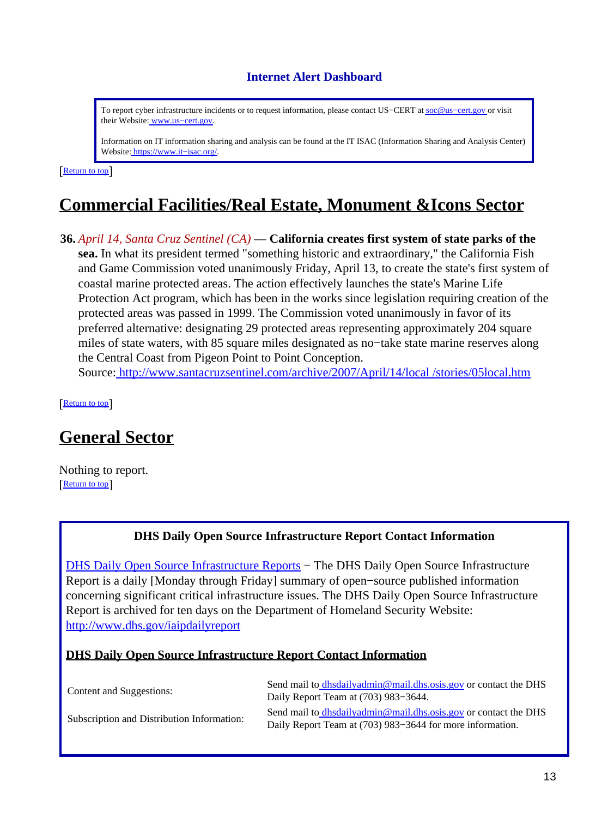### **Internet Alert Dashboard**

<span id="page-12-0"></span>To report cyber infrastructure incidents or to request information, please contact US−CERT at [soc@us−cert.gov](mailto:soc@us-cert.gov) or visit their Website: [www.us−cert.gov.](http://www.us-cert.gov/)

Information on IT information sharing and analysis can be found at the IT ISAC (Information Sharing and Analysis Center) Website: [https://www.it−isac.org/.](https://www.it-isac.org/)

[[Return to top](#page-0-1)]

## <span id="page-12-1"></span>**Commercial Facilities/Real Estate, Monument &Icons Sector**

**36.** *April 14, Santa Cruz Sentinel (CA)* — **California creates first system of state parks of the sea.** In what its president termed "something historic and extraordinary," the California Fish and Game Commission voted unanimously Friday, April 13, to create the state's first system of coastal marine protected areas. The action effectively launches the state's Marine Life Protection Act program, which has been in the works since legislation requiring creation of the protected areas was passed in 1999. The Commission voted unanimously in favor of its preferred alternative: designating 29 protected areas representing approximately 204 square miles of state waters, with 85 square miles designated as no−take state marine reserves along the Central Coast from Pigeon Point to Point Conception. Source[: http://www.santacruzsentinel.com/archive/2007/April/14/local /stories/05local.htm](http://www.santacruzsentinel.com/archive/2007/April/14/local/stories/05local.htm)

[[Return to top](#page-0-1)]

## <span id="page-12-2"></span>**General Sector**

Nothing to report. [[Return to top](#page-0-1)]

#### **DHS Daily Open Source Infrastructure Report Contact Information**

<span id="page-12-3"></span>[DHS Daily Open Source Infrastructure Reports](http://www.dhs.gov/iaipdailyreport) – The DHS Daily Open Source Infrastructure Report is a daily [Monday through Friday] summary of open−source published information concerning significant critical infrastructure issues. The DHS Daily Open Source Infrastructure Report is archived for ten days on the Department of Homeland Security Website: <http://www.dhs.gov/iaipdailyreport>

#### **DHS Daily Open Source Infrastructure Report Contact Information**

| Content and Suggestions:                   | Send mail to dhsdailyadmin@mail.dhs.osis.gov or contact the DHS<br>Daily Report Team at (703) 983–3644.                      |
|--------------------------------------------|------------------------------------------------------------------------------------------------------------------------------|
| Subscription and Distribution Information: | Send mail to dhsdailyadmin@mail.dhs.osis.gov or contact the DHS<br>Daily Report Team at (703) 983–3644 for more information. |